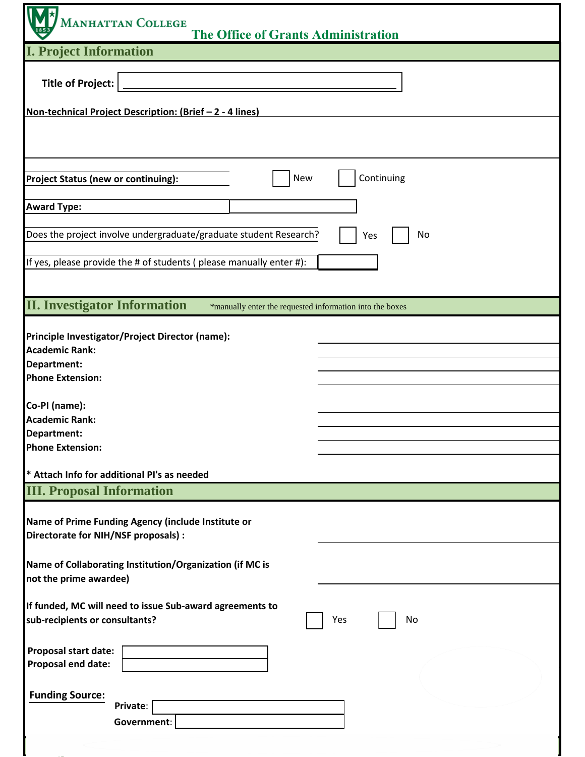| <b>MANHATTAN COLLEGE</b><br><b>The Office of Grants Administration</b>                                             |
|--------------------------------------------------------------------------------------------------------------------|
| <b>I. Project Information</b>                                                                                      |
| <b>Title of Project:</b>                                                                                           |
| <u>Non-technical Project Description: (Brief - 2 - 4 lines)</u>                                                    |
|                                                                                                                    |
| Continuing<br><b>New</b><br><b>Project Status (new or continuing):</b>                                             |
| <b>Award Type:</b>                                                                                                 |
| Does the project involve undergraduate/graduate student Research?<br>No<br>Yes                                     |
| If yes, please provide the # of students (please manually enter #):                                                |
| <b>II. Investigator Information</b><br>*manually enter the requested information into the boxes                    |
| Principle Investigator/Project Director (name):<br><b>Academic Rank:</b><br>Department:<br><b>Phone Extension:</b> |
| Co-PI (name):<br><b>Academic Rank:</b><br> Department:<br><b>Phone Extension:</b>                                  |
| * Attach Info for additional PI's as needed                                                                        |
| <b>III. Proposal Information</b>                                                                                   |
| Name of Prime Funding Agency (include Institute or<br>Directorate for NIH/NSF proposals) :                         |
| Name of Collaborating Institution/Organization (if MC is<br>not the prime awardee)                                 |
| If funded, MC will need to issue Sub-award agreements to<br>sub-recipients or consultants?<br>Yes<br>No            |
| <b>Proposal start date:</b><br>Proposal end date:                                                                  |
| <b>Funding Source:</b><br>Private:<br>Government:                                                                  |
|                                                                                                                    |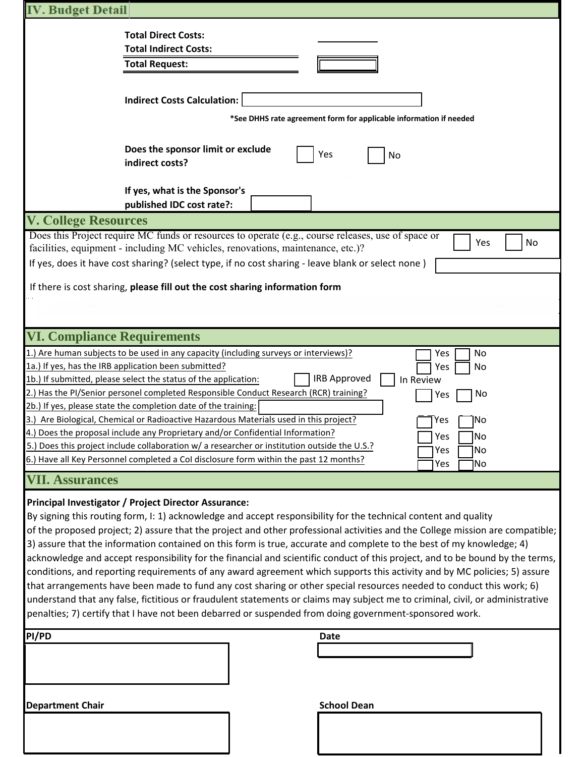| <b>IV. Budget Detail</b>                                                                                                      |
|-------------------------------------------------------------------------------------------------------------------------------|
|                                                                                                                               |
| <b>Total Direct Costs:</b>                                                                                                    |
| <b>Total Indirect Costs:</b>                                                                                                  |
| <b>Total Request:</b>                                                                                                         |
| <b>Indirect Costs Calculation:</b><br>*See DHHS rate agreement form for applicable information if needed                      |
| Does the sponsor limit or exclude<br>Yes<br>No<br>indirect costs?                                                             |
| If yes, what is the Sponsor's<br>published IDC cost rate?:                                                                    |
| <b>V. College Resources</b>                                                                                                   |
| Does this Project require MC funds or resources to operate (e.g., course releases, use of space or                            |
| Yes<br>No<br>facilities, equipment - including MC vehicles, renovations, maintenance, etc.)?                                  |
| If yes, does it have cost sharing? (select type, if no cost sharing - leave blank or select none)                             |
| If there is cost sharing, please fill out the cost sharing information form                                                   |
| <b>VI. Compliance Requirements</b>                                                                                            |
| 1.) Are human subjects to be used in any capacity (including surveys or interviews)?<br>No<br>Yes                             |
| 1a.) If yes, has the IRB application been submitted?<br>Yes<br>No                                                             |
| <b>IRB Approved</b><br>1b.) If submitted, please select the status of the application:<br>In Review                           |
| 2.) Has the PI/Senior personel completed Responsible Conduct Research (RCR) training?<br>No<br>Yes                            |
| 2b.) If yes, please state the completion date of the training:                                                                |
| 3.) Are Biological, Chemical or Radioactive Hazardous Materials used in this project?<br>lNo<br>Yes                           |
| 4.) Does the proposal include any Proprietary and/or Confidential Information?<br>Yes<br> No                                  |
| 5.) Does this project include collaboration w/ a researcher or institution outside the U.S.?<br>Yes<br>No                     |
| 6.) Have all Key Personnel completed a Col disclosure form within the past 12 months?<br>Yes<br> No                           |
| <b>VII. Assurances</b>                                                                                                        |
| Principal Investigator / Project Director Assurance:                                                                          |
| By signing this routing form, I: 1) acknowledge and accept responsibility for the technical content and quality               |
| of the proposed project; 2) assure that the project and other professional activities and the College mission are compatible; |
| 3) assure that the information contained on this form is true, accurate and complete to the best of my knowledge; 4)          |
| acknowledge and accept responsibility for the financial and scientific conduct of this project, and to be bound by the terms, |
| conditions, and reporting requirements of any award agreement which supports this activity and by MC policies; 5) assure      |
| that arrangements have been made to fund any cost sharing or other special resources needed to conduct this work; 6)          |
| understand that any false, fictitious or fraudulent statements or claims may subject me to criminal, civil, or administrative |
| penalties; 7) certify that I have not been debarred or suspended from doing government-sponsored work.                        |
| PI/PD<br><b>Date</b>                                                                                                          |
|                                                                                                                               |
|                                                                                                                               |
|                                                                                                                               |
|                                                                                                                               |
| <b>School Dean</b><br><b>Department Chair</b>                                                                                 |
|                                                                                                                               |
|                                                                                                                               |